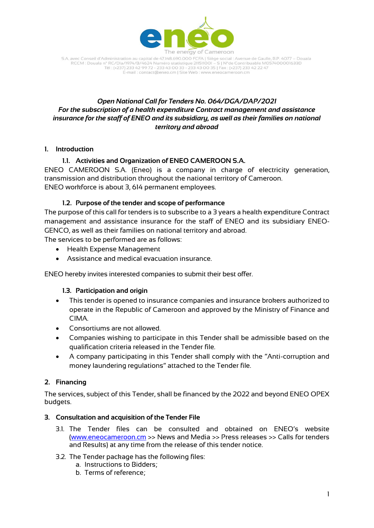

S.A. avec Conseil d'Administration au capital de 47.148.690.000 FCFA | Siège social : Avenue de Gaulle, B.P. 4077 - Douala avec Conseiro Administration at Capital de 47.146.690.000 PCPA | Signe Social : Avenue de Gadilei, b.12, 4077<br>RCCM : Douala nº RC/Dla/1974/B/4624 Numéro statistique 211511001 – S | Nºde Contribuable M057400001633D<br>Tél : (+ E-mail : contact@eneo.cm | Site Web : www.eneocameroon.cm

# *Open National Call for Tenders No. 064/DGA/DAP/2021 For the subscription of a health expenditure Contract management and assistance insurance for the staff of ENEO and its subsidiary, as well as their families on national territory and abroad*

## **1. Introduction**

# **1.1. Activities and Organization of ENEO CAMEROON S.A.**

ENEO CAMEROON S.A. (Eneo) is a company in charge of electricity generation, transmission and distribution throughout the national territory of Cameroon. ENEO workforce is about 3, 614 permanent employees.

# **1.2. Purpose of the tender and scope of performance**

The purpose of this call for tenders is to subscribe to a 3 years a health expenditure Contract management and assistance insurance for the staff of ENEO and its subsidiary ENEO-GENCO, as well as their families on national territory and abroad.

The services to be performed are as follows:

- Health Expense Management
- Assistance and medical evacuation insurance.

ENEO hereby invites interested companies to submit their best offer.

## **1.3. Participation and origin**

- This tender is opened to insurance companies and insurance brokers authorized to operate in the Republic of Cameroon and approved by the Ministry of Finance and CIMA.
- Consortiums are not allowed.
- Companies wishing to participate in this Tender shall be admissible based on the qualification criteria released in the Tender file.
- A company participating in this Tender shall comply with the "Anti-corruption and money laundering regulations" attached to the Tender file.

# **2. Financing**

The services, subject of this Tender, shall be financed by the 2022 and beyond ENEO OPEX budgets.

## **3. Consultation and acquisition of the Tender File**

- 3.1. The Tender files can be consulted and obtained on ENEO's website [\(www.eneocameroon.cm](http://www.eneocameroon.cm/) >> News and Media >> Press releases >> Calls for tenders and Results) at any time from the release of this tender notice.
- 3.2. The Tender package has the following files:
	- a. Instructions to Bidders;
	- b. Terms of reference;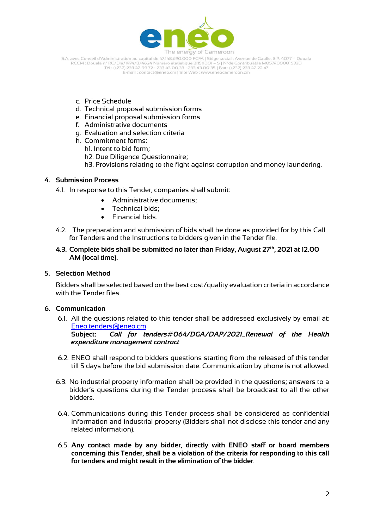

S.A. avec Conseil d'Administration au capital de 47.148.690.000 FCFA | Siège social : Avenue de Gaulle, B.P. 4077 - Douala RCCM : Douala n° RC/Dla/1974/B/4624 Numéro statistique 211511001 – S | N°de Contribuable M057400001633D<br>Tél : (+237) 233 42 99 72 - 233 43 00 33 - 233 43 00 35 | Fax : (+237) 233 42 22 47 E-mail : contact@eneo.cm | Site Web : www.eneocameroon.cm

- c. Price Schedule
- d. Technical proposal submission forms
- e. Financial proposal submission forms
- f. Administrative documents
- g. Evaluation and selection criteria
- h. Commitment forms:
	- h1. Intent to bid form;
	- h2. Due Diligence Questionnaire;
	- h3. Provisions relating to the fight against corruption and money laundering.

#### **4. Submission Process**

- 4.1. In response to this Tender, companies shall submit:
	- Administrative documents;
	- **•** Technical bids:
	- Financial bids.
- 4.2. The preparation and submission of bids shall be done as provided for by this Call for Tenders and the Instructions to bidders given in the Tender file.

### **4.3. Complete bids shall be submitted no later than Friday, August 27th, 2021 at 12.00 AM (local time).**

#### **5. Selection Method**

Bidders shall be selected based on the best cost/quality evaluation criteria in accordance with the Tender files.

## **6. Communication**

6.1. All the questions related to this tender shall be addressed exclusively by email at: [Eneo.tenders@eneo.cm](mailto:Eneo.tenders@eneo.cm)

**Subject:** *Call for tenders#064/DGA/DAP/2021\_Renewal of the Health expenditure management contract*

- 6.2. ENEO shall respond to bidders questions starting from the released of this tender till 5 days before the bid submission date. Communication by phone is not allowed.
- 6.3. No industrial property information shall be provided in the questions; answers to a bidder's questions during the Tender process shall be broadcast to all the other bidders.
- 6.4. Communications during this Tender process shall be considered as confidential information and industrial property (Bidders shall not disclose this tender and any related information).
- 6.5. **Any contact made by any bidder, directly with ENEO staff or board members concerning this Tender, shall be a violation of the criteria for responding to this call for tenders and might result in the elimination of the bidder**.